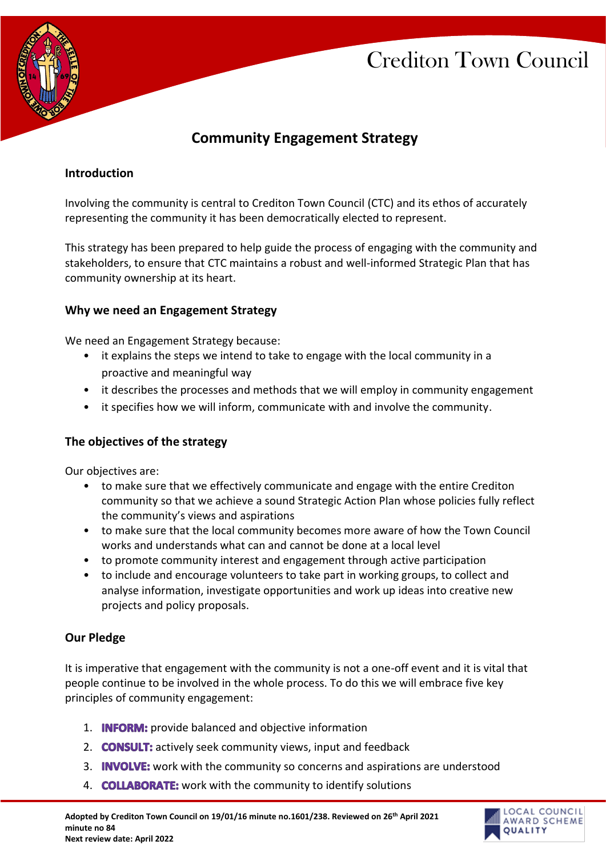

# **Community Engagement Strategy**

### **Introduction**

Involving the community is central to Crediton Town Council (CTC) and its ethos of accurately representing the community it has been democratically elected to represent.

This strategy has been prepared to help guide the process of engaging with the community and stakeholders, to ensure that CTC maintains a robust and well-informed Strategic Plan that has community ownership at its heart.

### **Why we need an Engagement Strategy**

We need an Engagement Strategy because:

- it explains the steps we intend to take to engage with the local community in a proactive and meaningful way
- it describes the processes and methods that we will employ in community engagement
- it specifies how we will inform, communicate with and involve the community.

# **The objectives of the strategy**

Our objectives are:

- to make sure that we effectively communicate and engage with the entire Crediton community so that we achieve a sound Strategic Action Plan whose policies fully reflect the community's views and aspirations
- to make sure that the local community becomes more aware of how the Town Council works and understands what can and cannot be done at a local level
- to promote community interest and engagement through active participation
- to include and encourage volunteers to take part in working groups, to collect and analyse information, investigate opportunities and work up ideas into creative new projects and policy proposals.

#### **Our Pledge**

It is imperative that engagement with the community is not a one-off event and it is vital that people continue to be involved in the whole process. To do this we will embrace five key principles of community engagement:

- 1. **INFORM:** provide balanced and objective information
- 2. **CONSULT:** actively seek community views, input and feedback
- 3. **INVOLVE:** work with the community so concerns and aspirations are understood
- 4. **COLLABORATE:** work with the community to identify solutions

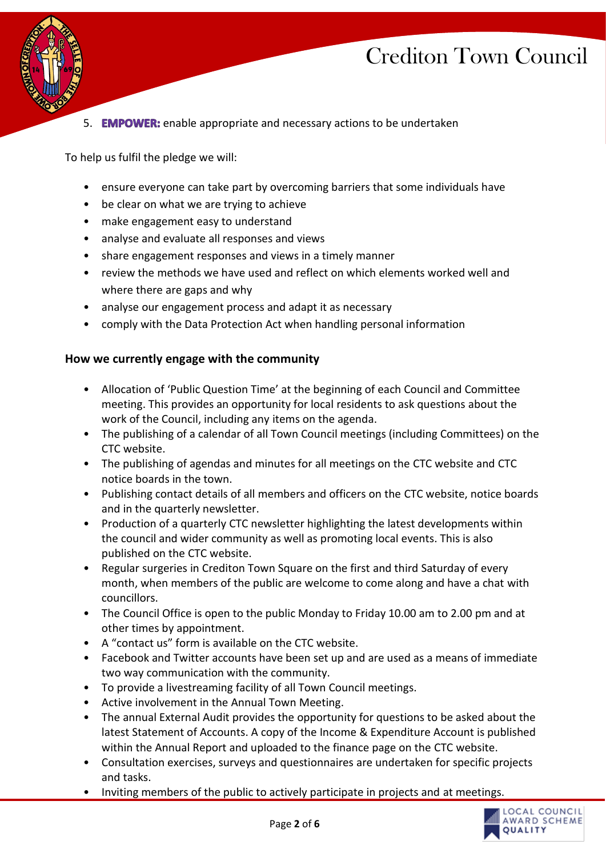

5. **EMPOWER:** enable appropriate and necessary actions to be undertaken

To help us fulfil the pledge we will:

- ensure everyone can take part by overcoming barriers that some individuals have
- be clear on what we are trying to achieve
- make engagement easy to understand
- analyse and evaluate all responses and views
- share engagement responses and views in a timely manner
- review the methods we have used and reflect on which elements worked well and where there are gaps and why
- analyse our engagement process and adapt it as necessary
- comply with the Data Protection Act when handling personal information

#### **How we currently engage with the community**

- Allocation of 'Public Question Time' at the beginning of each Council and Committee meeting. This provides an opportunity for local residents to ask questions about the work of the Council, including any items on the agenda.
- The publishing of a calendar of all Town Council meetings (including Committees) on the CTC website.
- The publishing of agendas and minutes for all meetings on the CTC website and CTC notice boards in the town.
- Publishing contact details of all members and officers on the CTC website, notice boards and in the quarterly newsletter.
- Production of a quarterly CTC newsletter highlighting the latest developments within the council and wider community as well as promoting local events. This is also published on the CTC website.
- Regular surgeries in Crediton Town Square on the first and third Saturday of every month, when members of the public are welcome to come along and have a chat with councillors.
- The Council Office is open to the public Monday to Friday 10.00 am to 2.00 pm and at other times by appointment.
- A "contact us" form is available on the CTC website.
- Facebook and Twitter accounts have been set up and are used as a means of immediate two way communication with the community.
- To provide a livestreaming facility of all Town Council meetings.
- Active involvement in the Annual Town Meeting.
- The annual External Audit provides the opportunity for questions to be asked about the latest Statement of Accounts. A copy of the Income & Expenditure Account is published within the Annual Report and uploaded to the finance page on the CTC website.
- Consultation exercises, surveys and questionnaires are undertaken for specific projects and tasks.
- Inviting members of the public to actively participate in projects and at meetings.

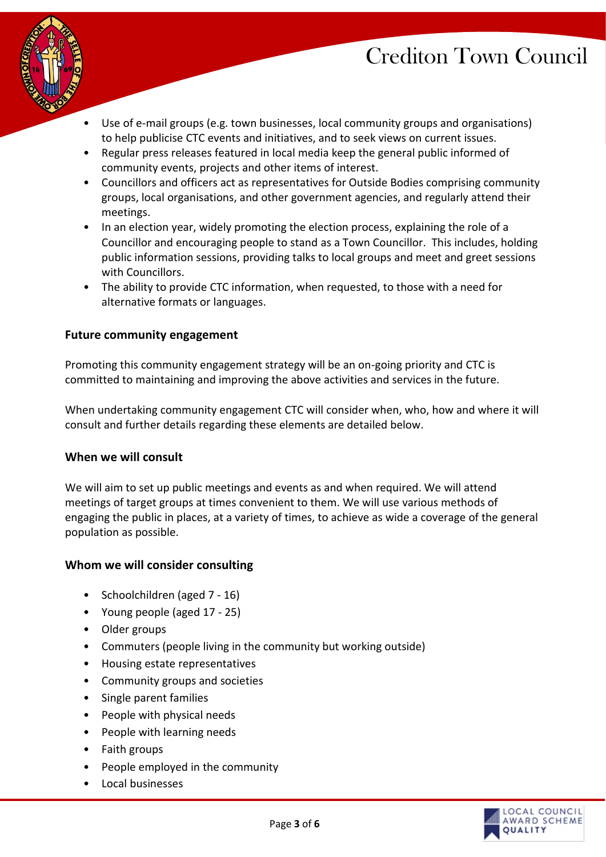

- Use of e-mail groups (e.g. town businesses, local community groups and organisations) to help publicise CTC events and initiatives, and to seek views on current issues.
- Regular press releases featured in local media keep the general public informed of community events, projects and other items of interest.
- Councillors and officers act as representatives for Outside Bodies comprising community groups, local organisations, and other government agencies, and regularly attend their meetings.
- In an election year, widely promoting the election process, explaining the role of a Councillor and encouraging people to stand as a Town Councillor. This includes, holding public information sessions, providing talks to local groups and meet and greet sessions with Councillors.
- The ability to provide CTC information, when requested, to those with a need for alternative formats or languages.

### **Future community engagement**

Promoting this community engagement strategy will be an on-going priority and CTC is committed to maintaining and improving the above activities and services in the future.

When undertaking community engagement CTC will consider when, who, how and where it will consult and further details regarding these elements are detailed below.

#### **When we will consult**

We will aim to set up public meetings and events as and when required. We will attend meetings of target groups at times convenient to them. We will use various methods of engaging the public in places, at a variety of times, to achieve as wide a coverage of the general population as possible.

#### **Whom we will consider consulting**

- Schoolchildren (aged 7 16)
- Young people (aged 17 25)
- Older groups
- Commuters (people living in the community but working outside)
- Housing estate representatives
- Community groups and societies
- Single parent families
- People with physical needs
- People with learning needs
- Faith groups
- People employed in the community
- Local businesses

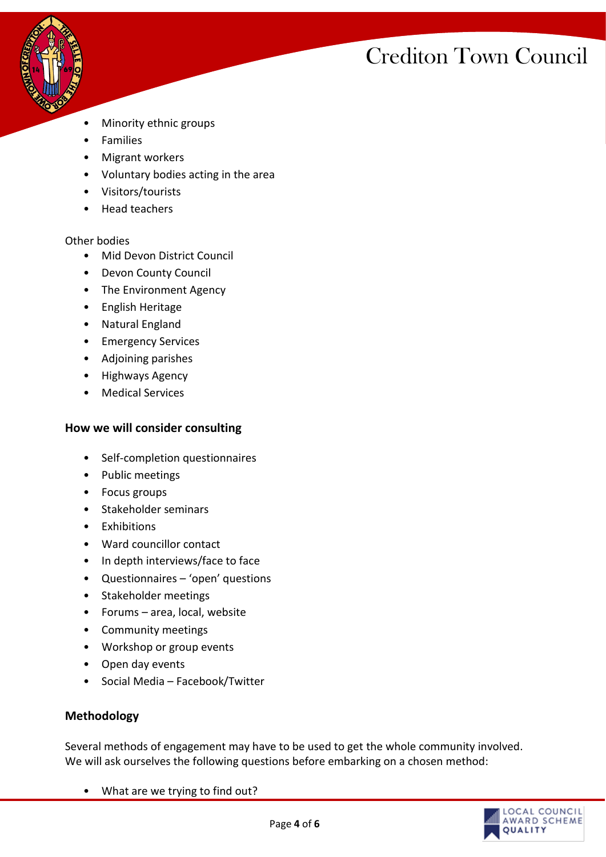

- Minority ethnic groups
- Families
- Migrant workers
- Voluntary bodies acting in the area
- Visitors/tourists
- Head teachers

#### Other bodies

- Mid Devon District Council
- Devon County Council
- The Environment Agency
- English Heritage
- Natural England
- **Emergency Services**
- Adjoining parishes
- Highways Agency
- **Medical Services**

#### **How we will consider consulting**

- Self-completion questionnaires
- Public meetings
- Focus groups
- Stakeholder seminars
- Exhibitions
- Ward councillor contact
- In depth interviews/face to face
- Questionnaires 'open' questions
- Stakeholder meetings
- Forums area, local, website
- Community meetings
- Workshop or group events
- Open day events
- Social Media Facebook/Twitter

#### **Methodology**

Several methods of engagement may have to be used to get the whole community involved. We will ask ourselves the following questions before embarking on a chosen method:

• What are we trying to find out?

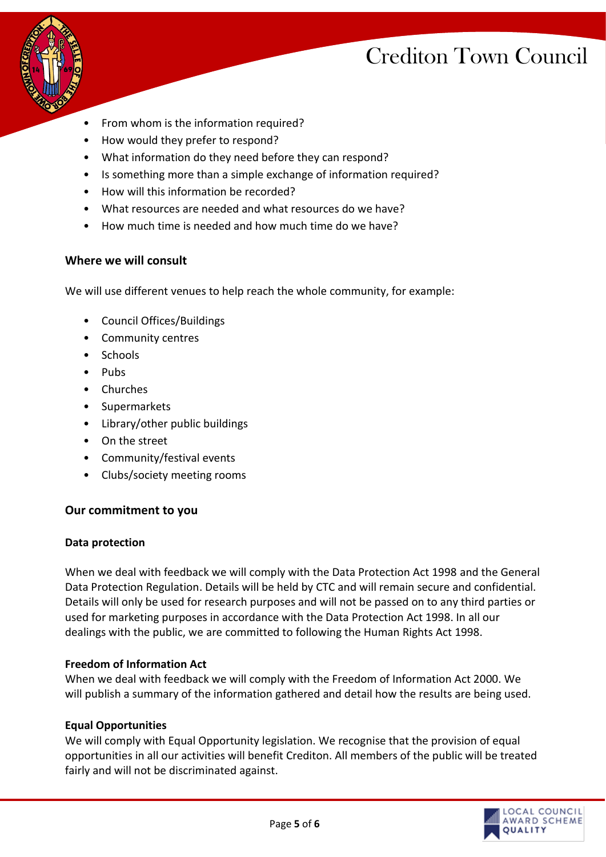

- From whom is the information required?
- How would they prefer to respond?
- What information do they need before they can respond?
- Is something more than a simple exchange of information required?
- How will this information be recorded?
- What resources are needed and what resources do we have?
- How much time is needed and how much time do we have?

### **Where we will consult**

We will use different venues to help reach the whole community, for example:

- Council Offices/Buildings
- Community centres
- Schools
- Pubs
- Churches
- **Supermarkets**
- Library/other public buildings
- On the street
- Community/festival events
- Clubs/society meeting rooms

# **Our commitment to you**

#### **Data protection**

When we deal with feedback we will comply with the Data Protection Act 1998 and the General Data Protection Regulation. Details will be held by CTC and will remain secure and confidential. Details will only be used for research purposes and will not be passed on to any third parties or used for marketing purposes in accordance with the Data Protection Act 1998. In all our dealings with the public, we are committed to following the Human Rights Act 1998.

#### **Freedom of Information Act**

When we deal with feedback we will comply with the Freedom of Information Act 2000. We will publish a summary of the information gathered and detail how the results are being used.

# **Equal Opportunities**

We will comply with Equal Opportunity legislation. We recognise that the provision of equal opportunities in all our activities will benefit Crediton. All members of the public will be treated fairly and will not be discriminated against.